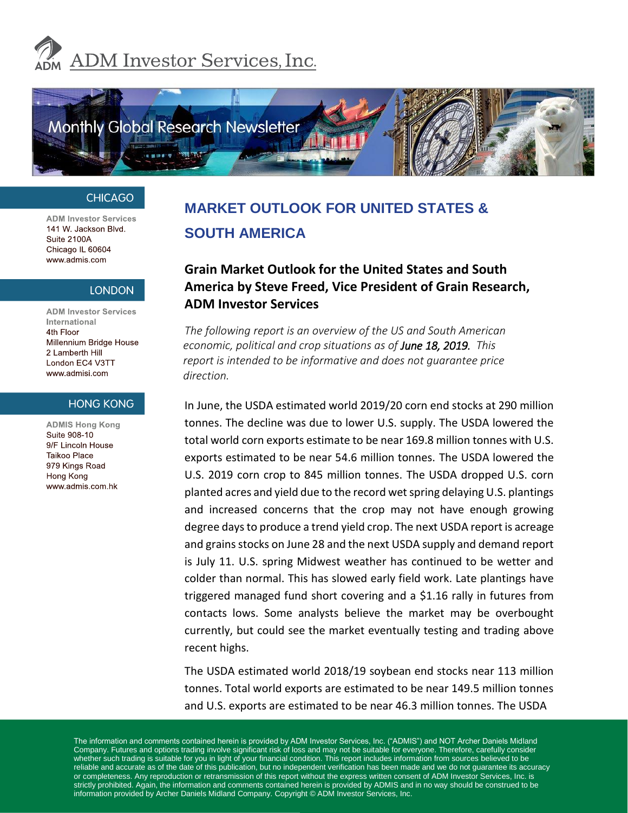



#### **CHICAGO**

**ADM Investor Services** 141 W. Jackson Blvd. Suite 2100A Chicago IL 60604 www.admis.com

#### **LONDON**

**ADM Investor Services** International 4th Floor 2 Lamberth Hill www.admisi.com

#### **HONG KONG**

**ADMIS Hong Kong** Suite 908-10 9/F Lincoln House Taikoo Place 979 Kings Road Hong Kong www.admis.com.hk

# **MARKET OUTLOOK FOR UNITED STATES & SOUTH AMERICA**

# **Grain Market Outlook for the United States and South America by Steve Freed, Vice President of Grain Research, ADM Investor Services**

*The following report is an overview of the US and South American economic, political and crop situations as of June 18, 2019. This report is intended to be informative and does not guarantee price direction.* 

> In June, the USDA estimated world 2019/20 corn end stocks at 290 million tonnes. The decline was due to lower U.S. supply. The USDA lowered the total world corn exports estimate to be near 169.8 million tonnes with U.S. exports estimated to be near 54.6 million tonnes. The USDA lowered the U.S. 2019 corn crop to 845 million tonnes. The USDA dropped U.S. corn planted acres and yield due to the record wet spring delaying U.S. plantings and increased concerns that the crop may not have enough growing degree days to produce a trend yield crop. The next USDA report is acreage and grains stocks on June 28 and the next USDA supply and demand report is July 11. U.S. spring Midwest weather has continued to be wetter and colder than normal. This has slowed early field work. Late plantings have triggered managed fund short covering and a \$1.16 rally in futures from contacts lows. Some analysts believe the market may be overbought currently, but could see the market eventually testing and trading above recent highs.

> The USDA estimated world 2018/19 soybean end stocks near 113 million tonnes. Total world exports are estimated to be near 149.5 million tonnes and U.S. exports are estimated to be near 46.3 million tonnes. The USDA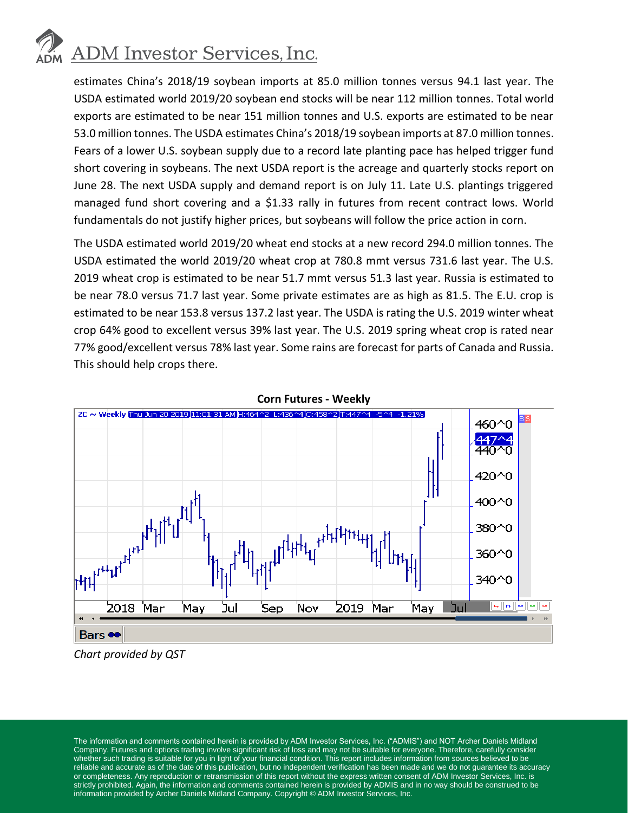# **ADM** Investor Services, Inc.

estimates China's 2018/19 soybean imports at 85.0 million tonnes versus 94.1 last year. The USDA estimated world 2019/20 soybean end stocks will be near 112 million tonnes. Total world exports are estimated to be near 151 million tonnes and U.S. exports are estimated to be near 53.0 million tonnes. The USDA estimates China's 2018/19 soybean imports at 87.0 million tonnes. Fears of a lower U.S. soybean supply due to a record late planting pace has helped trigger fund short covering in soybeans. The next USDA report is the acreage and quarterly stocks report on June 28. The next USDA supply and demand report is on July 11. Late U.S. plantings triggered managed fund short covering and a \$1.33 rally in futures from recent contract lows. World fundamentals do not justify higher prices, but soybeans will follow the price action in corn.

The USDA estimated world 2019/20 wheat end stocks at a new record 294.0 million tonnes. The USDA estimated the world 2019/20 wheat crop at 780.8 mmt versus 731.6 last year. The U.S. 2019 wheat crop is estimated to be near 51.7 mmt versus 51.3 last year. Russia is estimated to be near 78.0 versus 71.7 last year. Some private estimates are as high as 81.5. The E.U. crop is estimated to be near 153.8 versus 137.2 last year. The USDA is rating the U.S. 2019 winter wheat crop 64% good to excellent versus 39% last year. The U.S. 2019 spring wheat crop is rated near 77% good/excellent versus 78% last year. Some rains are forecast for parts of Canada and Russia. This should help crops there.





*Chart provided by QST*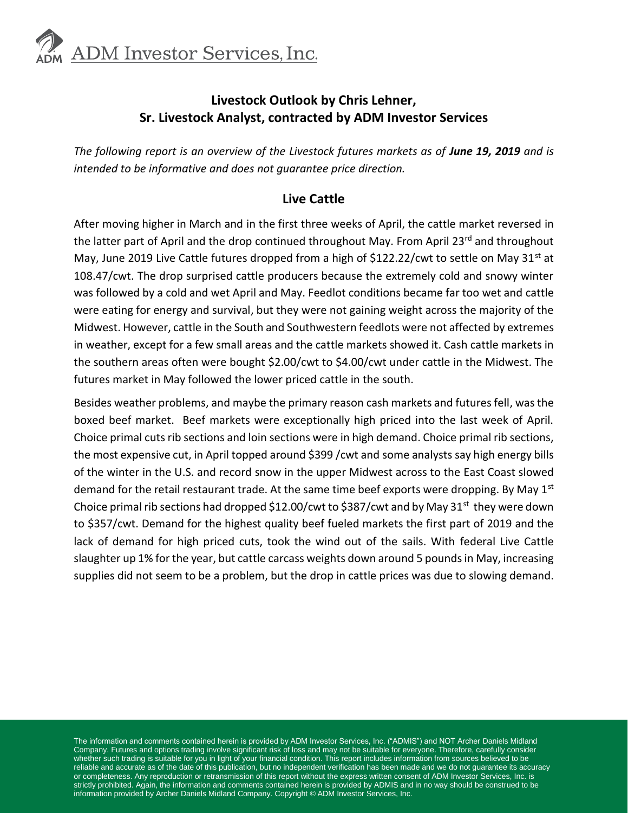

# **Livestock Outlook by Chris Lehner, Sr. Livestock Analyst, contracted by ADM Investor Services**

The following report is an overview of the Livestock futures markets as of June 19, 2019 and is *intended to be informative and does not guarantee price direction.* 

#### **Live Cattle**

After moving higher in March and in the first three weeks of April, the cattle market reversed in the latter part of April and the drop continued throughout May. From April 23<sup>rd</sup> and throughout May, June 2019 Live Cattle futures dropped from a high of \$122.22/cwt to settle on May 31<sup>st</sup> at 108.47/cwt. The drop surprised cattle producers because the extremely cold and snowy winter was followed by a cold and wet April and May. Feedlot conditions became far too wet and cattle were eating for energy and survival, but they were not gaining weight across the majority of the Midwest. However, cattle in the South and Southwestern feedlots were not affected by extremes in weather, except for a few small areas and the cattle markets showed it. Cash cattle markets in the southern areas often were bought \$2.00/cwt to \$4.00/cwt under cattle in the Midwest. The futures market in May followed the lower priced cattle in the south.

Besides weather problems, and maybe the primary reason cash markets and futures fell, was the boxed beef market. Beef markets were exceptionally high priced into the last week of April. Choice primal cuts rib sections and loin sections were in high demand. Choice primal rib sections, the most expensive cut, in April topped around \$399 /cwt and some analysts say high energy bills of the winter in the U.S. and record snow in the upper Midwest across to the East Coast slowed demand for the retail restaurant trade. At the same time beef exports were dropping. By May  $1<sup>st</sup>$ Choice primal rib sections had dropped \$12.00/cwt to \$387/cwt and by May 31<sup>st</sup> they were down to \$357/cwt. Demand for the highest quality beef fueled markets the first part of 2019 and the lack of demand for high priced cuts, took the wind out of the sails. With federal Live Cattle slaughter up 1% for the year, but cattle carcass weights down around 5 pounds in May, increasing supplies did not seem to be a problem, but the drop in cattle prices was due to slowing demand.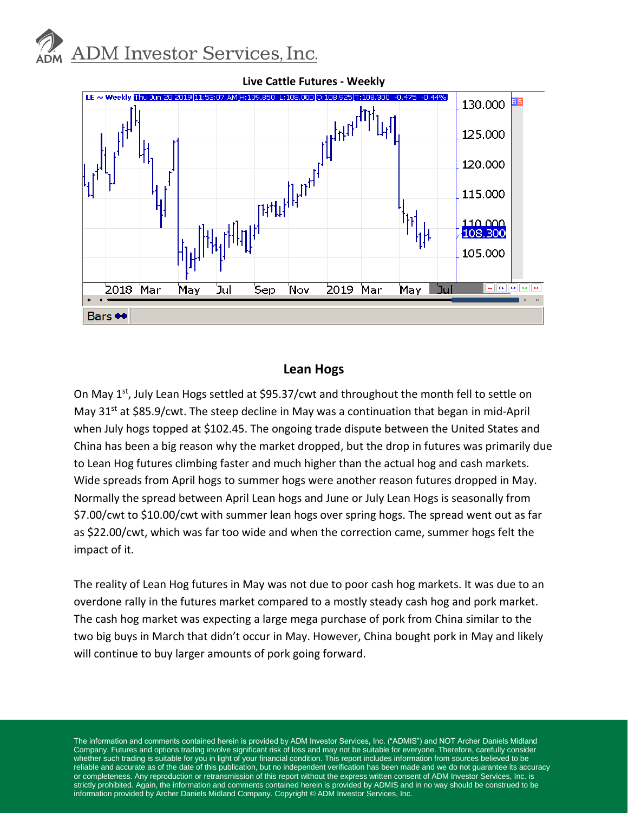



#### **Lean Hogs**

On May 1<sup>st</sup>, July Lean Hogs settled at \$95.37/cwt and throughout the month fell to settle on May  $31^{st}$  at \$85.9/cwt. The steep decline in May was a continuation that began in mid-April when July hogs topped at \$102.45. The ongoing trade dispute between the United States and China has been a big reason why the market dropped, but the drop in futures was primarily due to Lean Hog futures climbing faster and much higher than the actual hog and cash markets. Wide spreads from April hogs to summer hogs were another reason futures dropped in May. Normally the spread between April Lean hogs and June or July Lean Hogs is seasonally from \$7.00/cwt to \$10.00/cwt with summer lean hogs over spring hogs. The spread went out as far as \$22.00/cwt, which was far too wide and when the correction came, summer hogs felt the impact of it.

The reality of Lean Hog futures in May was not due to poor cash hog markets. It was due to an overdone rally in the futures market compared to a mostly steady cash hog and pork market. The cash hog market was expecting a large mega purchase of pork from China similar to the two big buys in March that didn't occur in May. However, China bought pork in May and likely will continue to buy larger amounts of pork going forward.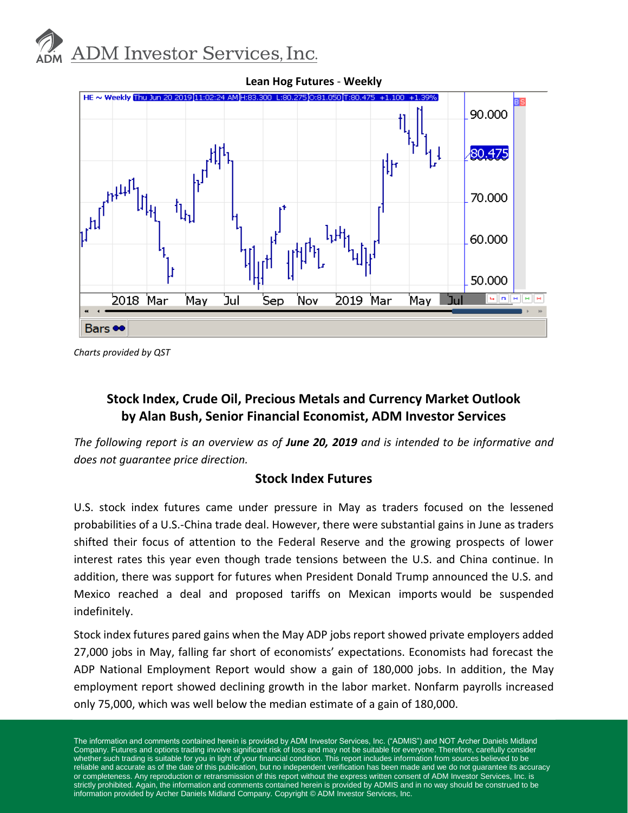



*Charts provided by QST*

# **Stock Index, Crude Oil, Precious Metals and Currency Market Outlook by Alan Bush, Senior Financial Economist, ADM Investor Services**

*The following report is an overview as of June 20, 2019 and is intended to be informative and does not guarantee price direction.* 

#### **Stock Index Futures**

U.S. stock index futures came under pressure in May as traders focused on the lessened probabilities of a U.S.-China trade deal. However, there were substantial gains in June as traders shifted their focus of attention to the Federal Reserve and the growing prospects of lower interest rates this year even though trade tensions between the U.S. and China continue. In addition, there was support for futures when President Donald Trump announced the U.S. and Mexico reached a deal and proposed tariffs on Mexican imports would be suspended indefinitely.

Stock index futures pared gains when the May ADP jobs report showed private employers added 27,000 jobs in May, falling far short of economists' expectations. Economists had forecast the ADP National Employment Report would show a gain of 180,000 jobs. In addition, the May employment report showed declining growth in the labor market. Nonfarm payrolls increased only 75,000, which was well below the median estimate of a gain of 180,000.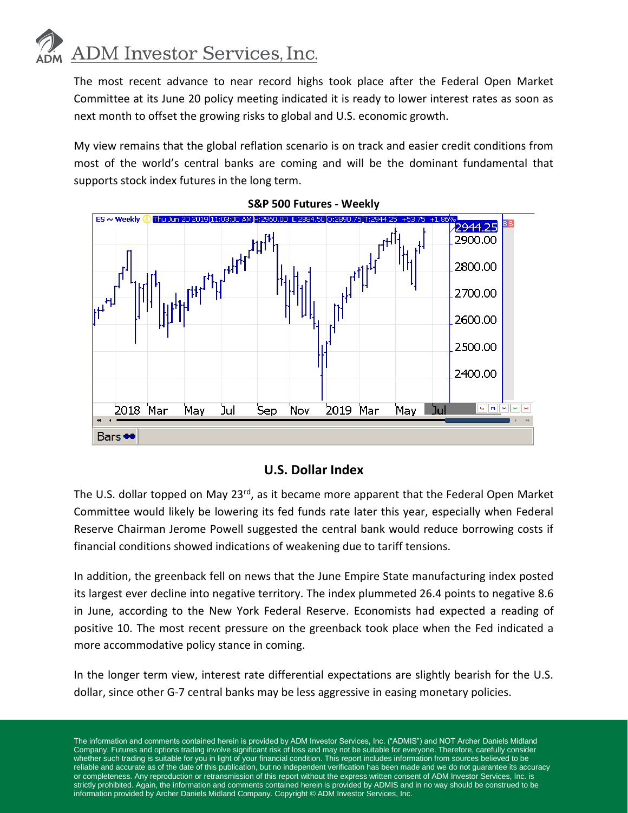# **ADM** Investor Services, Inc.

The most recent advance to near record highs took place after the Federal Open Market Committee at its June 20 policy meeting indicated it is ready to lower interest rates as soon as next month to offset the growing risks to global and U.S. economic growth.

My view remains that the global reflation scenario is on track and easier credit conditions from most of the world's central banks are coming and will be the dominant fundamental that supports stock index futures in the long term.



**S&P 500 Futures - Weekly**

#### **U.S. Dollar Index**

The U.S. dollar topped on May 23<sup>rd</sup>, as it became more apparent that the Federal Open Market Committee would likely be lowering its fed funds rate later this year, especially when Federal Reserve Chairman Jerome Powell suggested the central bank would reduce borrowing costs if financial conditions showed indications of weakening due to tariff tensions.

In addition, the greenback fell on news that the June Empire State manufacturing index posted its largest ever decline into negative territory. The index plummeted 26.4 points to negative 8.6 in June, according to the New York Federal Reserve. Economists had expected a reading of positive 10. The most recent pressure on the greenback took place when the Fed indicated a more accommodative policy stance in coming.

In the longer term view, interest rate differential expectations are slightly bearish for the U.S. dollar, since other G-7 central banks may be less aggressive in easing monetary policies.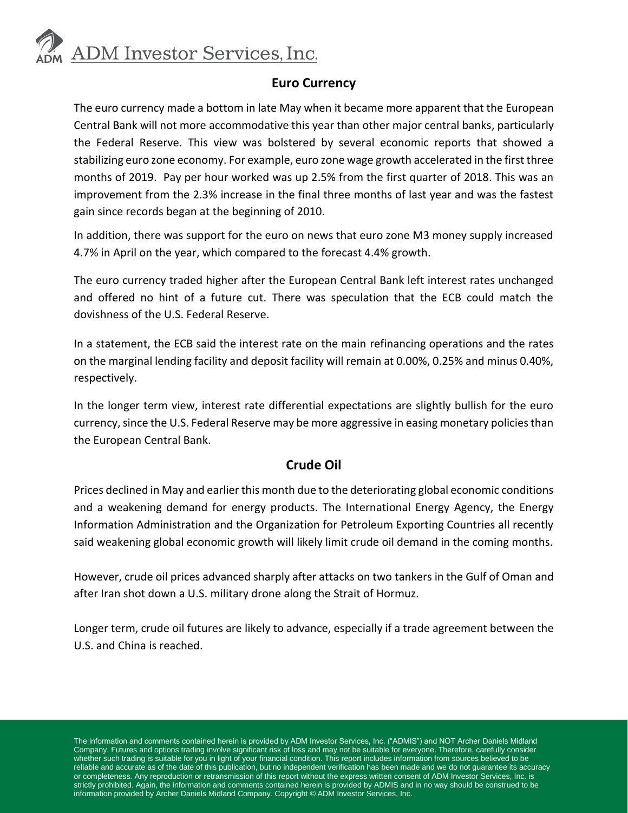

### **Euro Currency**

The euro currency made a bottom in late May when it became more apparent that the European Central Bank will not more accommodative this year than other major central banks, particularly the Federal Reserve. This view was bolstered by several economic reports that showed a stabilizing euro zone economy. For example, euro zone wage growth accelerated in the first three months of 2019. Pay per hour worked was up 2.5% from the first quarter of 2018. This was an improvement from the 2.3% increase in the final three months of last year and was the fastest gain since records began at the beginning of 2010.

In addition, there was support for the euro on news that euro zone M3 money supply increased 4.7% in April on the year, which compared to the forecast 4.4% growth.

The euro currency traded higher after the European Central Bank left interest rates unchanged and offered no hint of a future cut. There was speculation that the ECB could match the dovishness of the U.S. Federal Reserve.

In a statement, the ECB said the interest rate on the main refinancing operations and the rates on the marginal lending facility and deposit facility will remain at 0.00%, 0.25% and minus 0.40%, respectively.

In the longer term view, interest rate differential expectations are slightly bullish for the euro currency, since the U.S. Federal Reserve may be more aggressive in easing monetary policies than the European Central Bank.

## **Crude Oil**

Prices declined in May and earlier this month due to the deteriorating global economic conditions and a weakening demand for energy products. The International Energy Agency, the Energy Information Administration and the Organization for Petroleum Exporting Countries all recently said weakening global economic growth will likely limit crude oil demand in the coming months.

However, crude oil prices advanced sharply after attacks on two tankers in the Gulf of Oman and after Iran shot down a U.S. military drone along the Strait of Hormuz.

Longer term, crude oil futures are likely to advance, especially if a trade agreement between the U.S. and China is reached.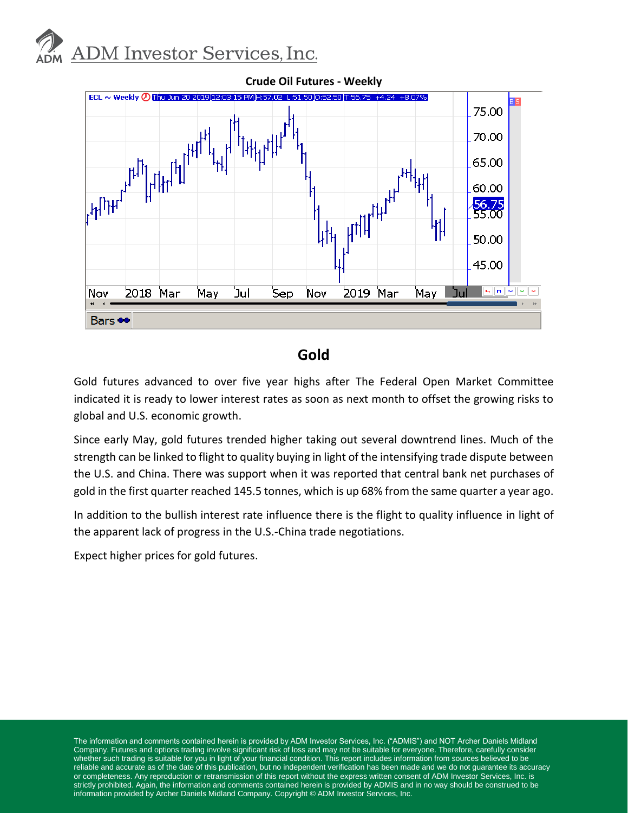



# **Gold**

Gold futures advanced to over five year highs after The Federal Open Market Committee indicated it is ready to lower interest rates as soon as next month to offset the growing risks to global and U.S. economic growth.

Since early May, gold futures trended higher taking out several downtrend lines. Much of the strength can be linked to flight to quality buying in light of the intensifying trade dispute between the U.S. and China. There was support when it was reported that central bank net purchases of gold in the first quarter reached 145.5 tonnes, which is up 68% from the same quarter a year ago.

In addition to the bullish interest rate influence there is the flight to quality influence in light of the apparent lack of progress in the U.S.-China trade negotiations.

Expect higher prices for gold futures.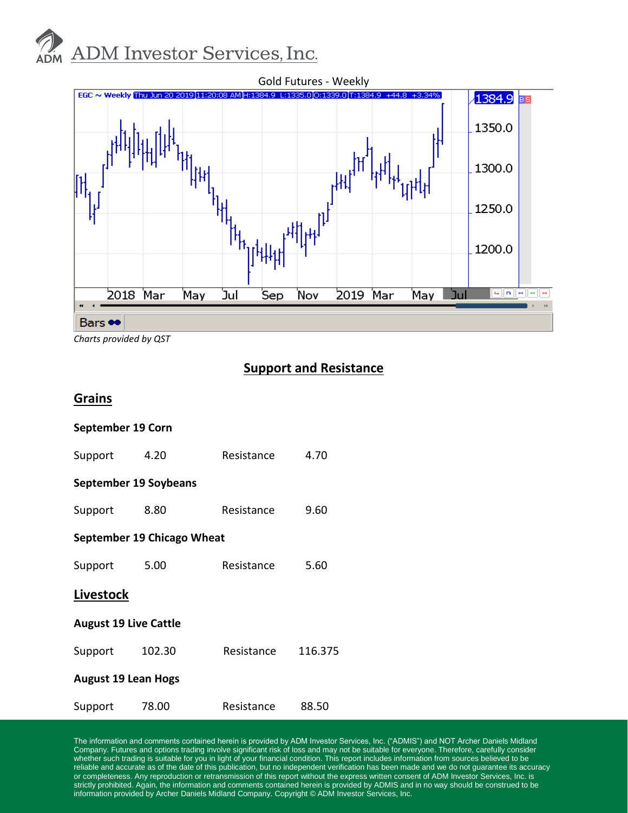# **ADM Investor Services, Inc.**



*Charts provided by QST*

# **Support and Resistance**

#### **Grains**

| September 19 Corn            |       |                    |       |  |  |
|------------------------------|-------|--------------------|-------|--|--|
| Support                      | 4.20  | Resistance         | 4.70  |  |  |
| <b>September 19 Soybeans</b> |       |                    |       |  |  |
| Support                      | 8.80  | Resistance         | 9.60  |  |  |
| September 19 Chicago Wheat   |       |                    |       |  |  |
| Support                      | 5.00  | Resistance         | 5.60  |  |  |
| Livestock                    |       |                    |       |  |  |
| <b>August 19 Live Cattle</b> |       |                    |       |  |  |
| Support 102.30               |       | Resistance 116.375 |       |  |  |
| <b>August 19 Lean Hogs</b>   |       |                    |       |  |  |
| Support                      | 78.00 | Resistance         | 88.50 |  |  |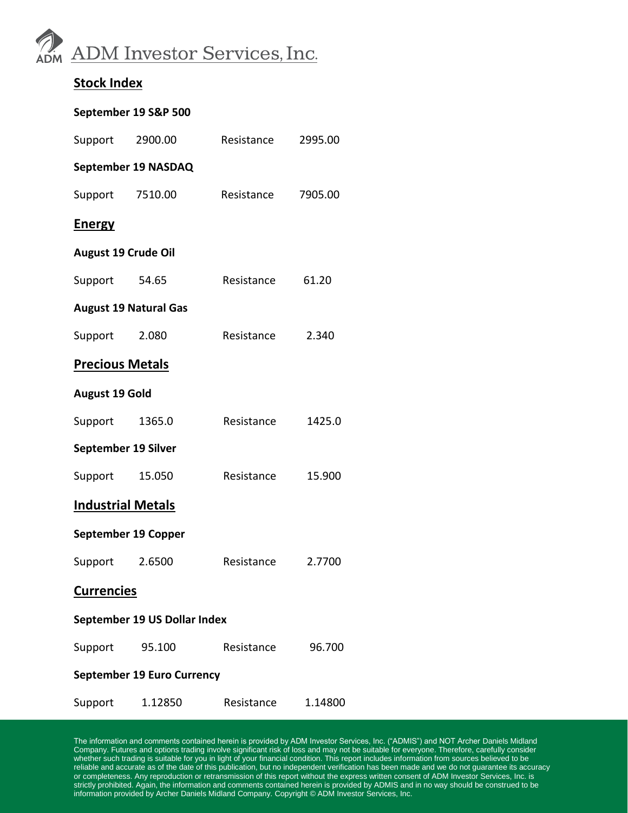

## **Stock Index**

#### **September 19 S&P 500**

| Support                           | 2900.00             | Resistance | 2995.00 |  |  |
|-----------------------------------|---------------------|------------|---------|--|--|
| September 19 NASDAQ               |                     |            |         |  |  |
| Support 7510.00                   |                     | Resistance | 7905.00 |  |  |
| <b>Energy</b>                     |                     |            |         |  |  |
| <b>August 19 Crude Oil</b>        |                     |            |         |  |  |
| Support                           | 54.65               | Resistance | 61.20   |  |  |
| <b>August 19 Natural Gas</b>      |                     |            |         |  |  |
| Support                           | 2.080               | Resistance | 2.340   |  |  |
| <b>Precious Metals</b>            |                     |            |         |  |  |
| <b>August 19 Gold</b>             |                     |            |         |  |  |
| Support                           | 1365.0              | Resistance | 1425.0  |  |  |
| September 19 Silver               |                     |            |         |  |  |
| Support                           | 15.050              | Resistance | 15.900  |  |  |
| <b>Industrial Metals</b>          |                     |            |         |  |  |
|                                   | September 19 Copper |            |         |  |  |
| Support                           | 2.6500              | Resistance | 2.7700  |  |  |
| <b>Currencies</b>                 |                     |            |         |  |  |
| September 19 US Dollar Index      |                     |            |         |  |  |
| Support 95.100                    |                     | Resistance | 96.700  |  |  |
| <b>September 19 Euro Currency</b> |                     |            |         |  |  |
| Support                           | 1.12850             | Resistance | 1.14800 |  |  |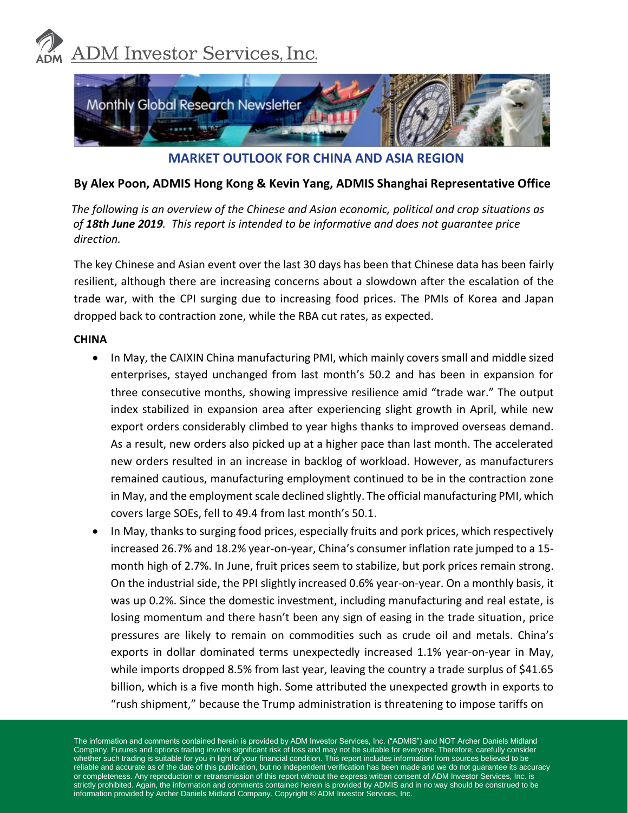



**MARKET OUTLOOK FOR CHINA AND ASIA REGION**

#### **By Alex Poon, ADMIS Hong Kong & Kevin Yang, ADMIS Shanghai Representative Office**

 *The following is an overview of the Chinese and Asian economic, political and crop situations as of 18th June 2019. This report is intended to be informative and does not guarantee price direction.*

The key Chinese and Asian event over the last 30 days has been that Chinese data has been fairly resilient, although there are increasing concerns about a slowdown after the escalation of the trade war, with the CPI surging due to increasing food prices. The PMIs of Korea and Japan dropped back to contraction zone, while the RBA cut rates, as expected.

#### **CHINA**

- In May, the CAIXIN China manufacturing PMI, which mainly covers small and middle sized enterprises, stayed unchanged from last month's 50.2 and has been in expansion for three consecutive months, showing impressive resilience amid "trade war." The output index stabilized in expansion area after experiencing slight growth in April, while new export orders considerably climbed to year highs thanks to improved overseas demand. As a result, new orders also picked up at a higher pace than last month. The accelerated new orders resulted in an increase in backlog of workload. However, as manufacturers remained cautious, manufacturing employment continued to be in the contraction zone in May, and the employment scale declined slightly. The official manufacturing PMI, which covers large SOEs, fell to 49.4 from last month's 50.1.
- In May, thanks to surging food prices, especially fruits and pork prices, which respectively increased 26.7% and 18.2% year-on-year, China's consumer inflation rate jumped to a 15 month high of 2.7%. In June, fruit prices seem to stabilize, but pork prices remain strong. On the industrial side, the PPI slightly increased 0.6% year-on-year. On a monthly basis, it was up 0.2%. Since the domestic investment, including manufacturing and real estate, is losing momentum and there hasn't been any sign of easing in the trade situation, price pressures are likely to remain on commodities such as crude oil and metals. China's exports in dollar dominated terms unexpectedly increased 1.1% year-on-year in May, while imports dropped 8.5% from last year, leaving the country a trade surplus of \$41.65 billion, which is a five month high. Some attributed the unexpected growth in exports to "rush shipment," because the Trump administration is threatening to impose tariffs on